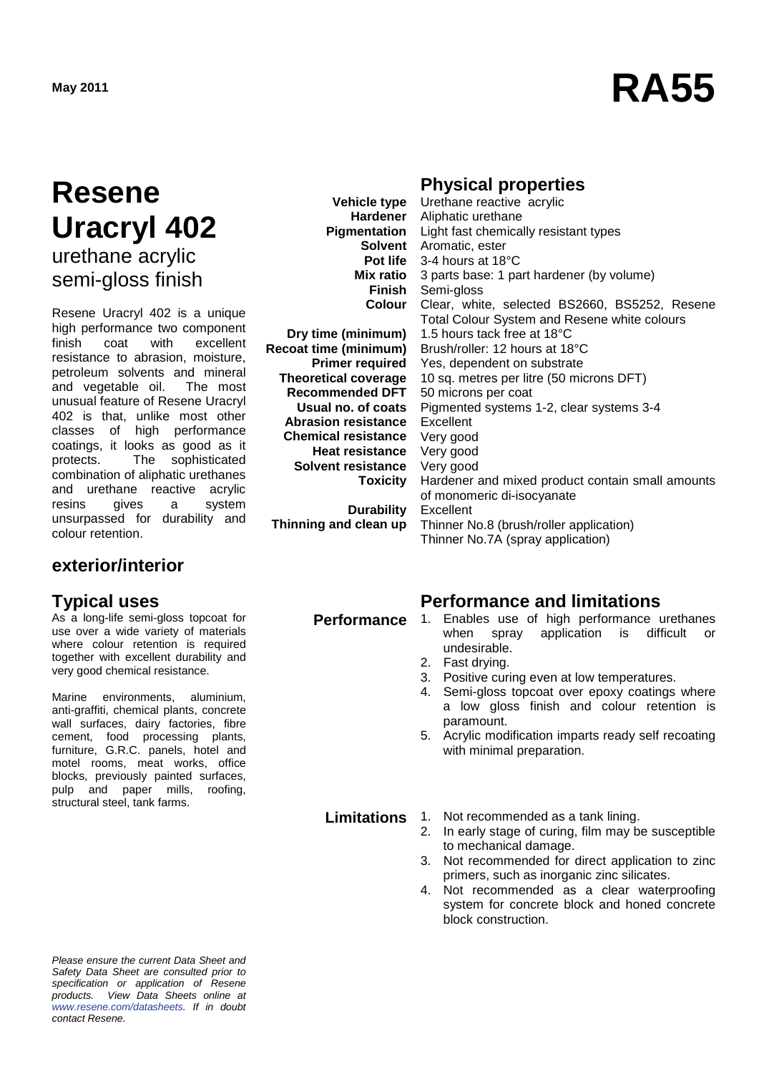# **May 2011 RA55**

### **Resene Uracryl 402** urethane acrylic semi-gloss finish

Resene Uracryl 402 is a unique high performance two component<br>finish coat with excellent finish coat resistance to abrasion, moisture, petroleum solvents and mineral<br>and vegetable oil. The most and vegetable oil. unusual feature of Resene Uracryl 402 is that, unlike most other classes of high performance coatings, it looks as good as it protects. The sophisticated combination of aliphatic urethanes and urethane reactive acrylic resins gives a system unsurpassed for durability and colour retention.

#### **exterior/interior**

As a long-life semi-gloss topcoat for use over a wide variety of materials where colour retention is required together with excellent durability and very good chemical resistance.

Marine environments, aluminium, anti-graffiti, chemical plants, concrete wall surfaces, dairy factories, fibre cement, food processing plants, furniture, G.R.C. panels, hotel and motel rooms, meat works, office blocks, previously painted surfaces, pulp and paper mills, roofing, structural steel, tank farms.

*Please ensure the current Data Sheet and Safety Data Sheet are consulted prior to specification or application of Resene products. View Data Sheets online at [www.resene.com/datasheets.](http://www.resene.com/datasheets) If in doubt contact Resene.*

**Vehicle type Hardener Finish Colour**

**Dry time (minimum) Recoat time (minimum) Primer required Theoretical coverage Recommended DFT Usual no. of coats Abrasion resistance Chemical resistance Heat resistance Solvent resistance Toxicity**

**Durability Thinning and clean up**

#### **Physical properties**

**Pigmentation** Light fast chemically resistant types **Solvent** Aromatic, ester **Pot life** 3-4 hours at 18°C **Mix ratio** 3 parts base: 1 part hardener (by volume) Urethane reactive acrylic Aliphatic urethane Semi-gloss Clear, white, selected BS2660, BS5252, Resene Total Colour System and Resene white colours 1.5 hours tack free at 18°C Brush/roller: 12 hours at 18°C Yes, dependent on substrate 10 sq. metres per litre (50 microns DFT) 50 microns per coat Pigmented systems 1-2, clear systems 3-4 Excellent Very good Very good Very good Hardener and mixed product contain small amounts of monomeric di-isocyanate Excellent Thinner No.8 (brush/roller application) Thinner No.7A (spray application)

### **Typical uses Performance and limitations**

- **Performance** 1. Enables use of high performance urethanes<br>when spray application is difficult or difficult or undesirable.
	- 2. Fast drying.
	- 3. Positive curing even at low temperatures.
	- 4. Semi-gloss topcoat over epoxy coatings where a low gloss finish and colour retention is paramount.
	- 5. Acrylic modification imparts ready self recoating with minimal preparation.

**Limitations** 1. Not recommended as a tank lining.<br>2. In early stage of curing. film may be

- In early stage of curing, film may be susceptible to mechanical damage.
- 3. Not recommended for direct application to zinc primers, such as inorganic zinc silicates.
- 4. Not recommended as a clear waterproofing system for concrete block and honed concrete block construction.